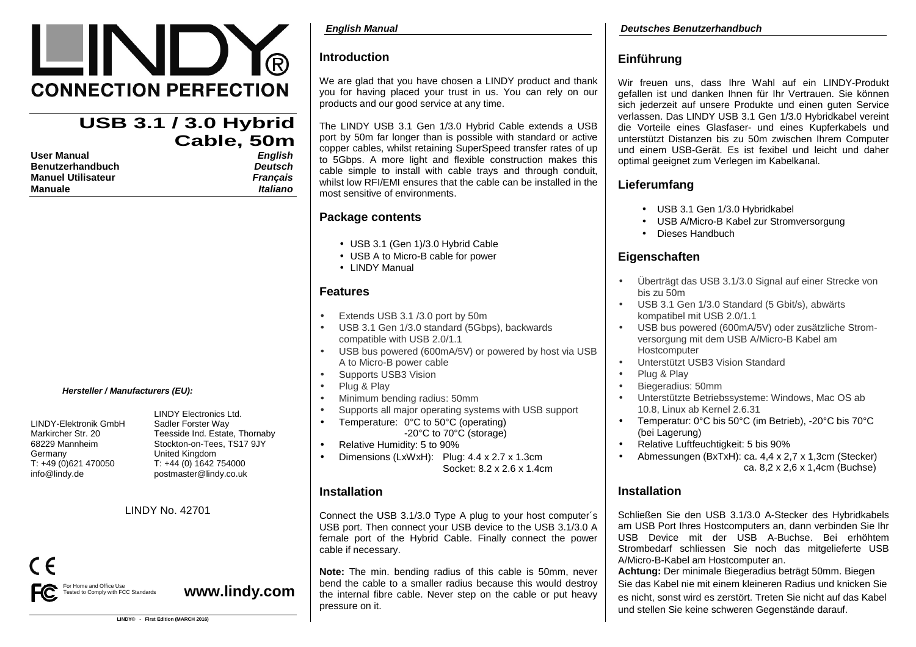# LIND **CONNECTION PERFECTION**

## **USB 3.1 / 3.0 Hybrid Cable, 50mEnglish**

| User Manual        | English         |
|--------------------|-----------------|
| Benutzerhandbuch   | Deutsch         |
| Manuel Utilisateur | <b>Francais</b> |
| Manuale            | Italiano        |

### **Hersteller / Manufacturers (EU):**

LINDY-Elektronik GmbH Sadler Forster Way Germany United Kingdom<br>T: +49 (0)621 470050 T: +44 (0) 1642 info@lindy.de postmaster@lindy.co.uk

 LINDY Electronics Ltd. Markircher Str. 20 Teesside Ind. Estate, Thornaby 68229 Mannheim Stockton-on-Tees, TS17 9JY T: +49 (0)621 470050 T: +44 (0) 1642 754000

## LINDY No. 42701



**www.lindy.com** 

## **Introduction**

We are glad that you have chosen a LINDY product and thank you for having placed your trust in us. You can rely on our products and our good service at any time.

The LINDY USB 3.1 Gen 1/3.0 Hybrid Cable extends a USB port by 50m far longer than is possible with standard or active copper cables, whilst retaining SuperSpeed transfer rates of up to 5Gbps. A more light and flexible construction makes this cable simple to install with cable trays and through conduit, whilst low RFI/EMI ensures that the cable can be installed in the most sensitive of environments.

## **Package contents**

- USB 3.1 (Gen 1)/3.0 Hybrid Cable
- USB A to Micro-B cable for power
- LINDY Manual

## **Features**

- Extends USB 3.1 /3.0 port by 50m
- USB 3.1 Gen 1/3.0 standard (5Gbps), backwards compatible with USB 2.0/1.1
- USB bus powered (600mA/5V) or powered by host via USB A to Micro-B power cable
- Supports USB3 Vision
- Plug & Play
- Minimum bending radius: 50mm
- Supports all major operating systems with USB support
- Temperature: 0°C to 50°C (operating) -20°C to 70°C (storage)
- Relative Humidity: 5 to 90%
- Dimensions (LxWxH): Plug: 4.4 x 2.7 x 1.3cm Socket: 8.2 x 2.6 x 1.4cm

## **Installation**

Connect the USB 3.1/3.0 Type A plug to your host computer´s USB port. Then connect your USB device to the USB 3.1/3.0 A female port of the Hybrid Cable. Finally connect the power cable if necessary.

**Note:** The min. bending radius of this cable is 50mm, never bend the cable to a smaller radius because this would destroy the internal fibre cable. Never step on the cable or put heavy pressure on it.

## **Einführung**

Wir freuen uns, dass Ihre Wahl auf ein LINDY-Produkt gefallen ist und danken Ihnen für Ihr Vertrauen. Sie können sich jederzeit auf unsere Produkte und einen guten Service verlassen. Das LINDY USB 3.1 Gen 1/3.0 Hybridkabel vereint die Vorteile eines Glasfaser- und eines Kupferkabels und unterstützt Distanzen bis zu 50m zwischen Ihrem Computer und einem USB-Gerät. Es ist fexibel und leicht und daher optimal geeignet zum Verlegen im Kabelkanal.

## **Lieferumfang**

- USB 3.1 Gen 1/3.0 Hybridkabel
- USB A/Micro-B Kabel zur Stromversorgung
- Dieses Handbuch

## **Eigenschaften**

- Überträgt das USB 3.1/3.0 Signal auf einer Strecke von bis zu 50m
- USB 3.1 Gen 1/3.0 Standard (5 Gbit/s), abwärts kompatibel mit USB 2.0/1.1
- USB bus powered (600mA/5V) oder zusätzliche Stromversorgung mit dem USB A/Micro-B Kabel am **Hostcomputer**
- Unterstützt USB3 Vision Standard
- Plug & Play
- Biegeradius: 50mm
- Unterstützte Betriebssysteme: Windows, Mac OS ab 10.8, Linux ab Kernel 2.6.31
- Temperatur: 0°C bis 50°C (im Betrieb), -20°C bis 70°C (bei Lagerung)
- Relative Luftfeuchtigkeit: 5 bis 90%
- Abmessungen (BxTxH): ca. 4,4 x 2,7 x 1,3cm (Stecker) ca. 8,2 x 2,6 x 1,4cm (Buchse)

## **Installation**

Schließen Sie den USB 3.1/3.0 A-Stecker des Hybridkabels am USB Port Ihres Hostcomputers an, dann verbinden Sie Ihr USB Device mit der USB A-Buchse. Bei erhöhtem Strombedarf schliessen Sie noch das mitgelieferte USB A/Micro-B-Kabel am Hostcomputer an.

 **Achtung:** Der minimale Biegeradius beträgt 50mm. Biegen Sie das Kabel nie mit einem kleineren Radius und knicken Sie es nicht, sonst wird es zerstört. Treten Sie nicht auf das Kabel und stellen Sie keine schweren Gegenstände darauf.